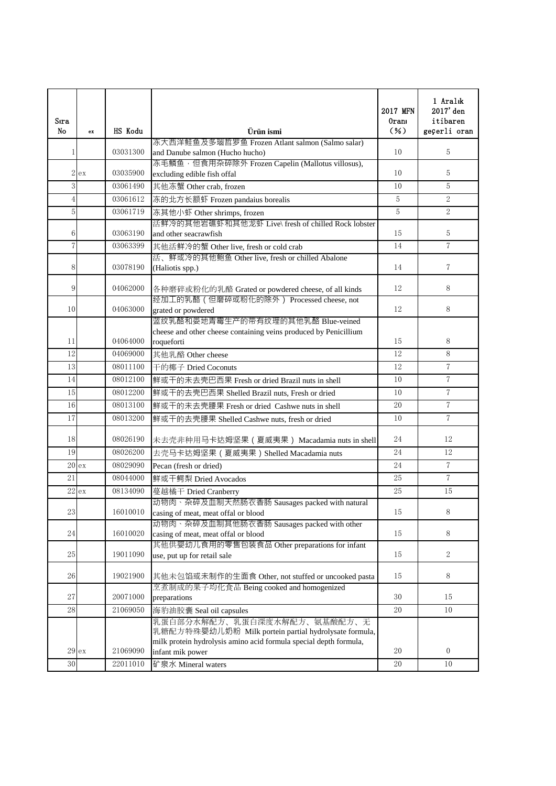| Sıra<br>No     | $\mathbf{e}$ x | HS Kodu  | Ürün ismi                                                                            | 2017 MFN<br>Oranı<br>$(\% )$ | 1 Aralık<br>2017' den<br>itibaren<br>geçerli oran |
|----------------|----------------|----------|--------------------------------------------------------------------------------------|------------------------------|---------------------------------------------------|
|                |                |          | 冻大西洋鲑鱼及多瑙哲罗鱼 Frozen Atlant salmon (Salmo salar)                                      |                              |                                                   |
| 1              |                | 03031300 | and Danube salmon (Hucho hucho)                                                      | 10                           | 5                                                 |
| 2 <sub>l</sub> | ex             | 03035900 | 冻毛鳞鱼,但食用杂碎除外 Frozen Capelin (Mallotus villosus),<br>excluding edible fish offal      | 10                           | 5                                                 |
| 3              |                | 03061490 | 其他冻蟹 Other crab, frozen                                                              | 10                           | 5                                                 |
| $\overline{4}$ |                | 03061612 | 冻的北方长额虾 Frozen pandaius borealis                                                     | 5                            | $\overline{2}$                                    |
| 5              |                | 03061719 | 冻其他小虾 Other shrimps, frozen                                                          | 5                            | $2^{x}$                                           |
|                |                |          | 活鲜冷的其他岩礁虾和其他龙虾 Live\ fresh of chilled Rock lobster                                   |                              |                                                   |
| 6              |                | 03063190 | and other seacrawfish                                                                | 15                           | 5                                                 |
| $\overline{7}$ |                | 03063399 | 其他活鲜冷的蟹 Other live, fresh or cold crab                                               | 14                           | $\overline{7}$                                    |
|                |                |          | 活、鲜或冷的其他鲍鱼 Other live, fresh or chilled Abalone                                      |                              |                                                   |
| 8              |                | 03078190 | (Haliotis spp.)                                                                      | 14                           | $\overline{7}$                                    |
| 9              |                | 04062000 | 各种磨碎或粉化的乳酪 Grated or powdered cheese, of all kinds                                   | 12                           | 8                                                 |
|                |                |          | 经加工的乳酪 (但磨碎或粉化的除外) Processed cheese, not                                             |                              |                                                   |
| 10             |                | 04063000 | grated or powdered                                                                   | 12                           | 8                                                 |
|                |                |          | 蓝纹乳酪和娄地青霉生产的带有纹理的其他乳酪 Blue-veined                                                    |                              |                                                   |
|                |                |          | cheese and other cheese containing veins produced by Penicillium                     |                              |                                                   |
| 11             |                | 04064000 | roqueforti                                                                           | 15                           | 8                                                 |
| 12             |                | 04069000 | 其他乳酪 Other cheese                                                                    | 12                           | $\, 8$                                            |
| 13             |                | 08011100 | 干的椰子 Dried Coconuts                                                                  | 12                           | $\overline{7}$                                    |
| 14             |                | 08012100 | 鲜或干的未去壳巴西果 Fresh or dried Brazil nuts in shell                                       | 10                           | $\overline{7}$                                    |
| 15             |                | 08012200 | 鲜或干的去壳巴西果 Shelled Brazil nuts, Fresh or dried                                        | 10                           | $\sqrt{7}$                                        |
| 16             |                | 08013100 | 鲜或干的未去壳腰果 Fresh or dried Cashwe nuts in shell                                        | 20                           | $\overline{7}$                                    |
| 17             |                | 08013200 | 鲜或干的去壳腰果 Shelled Cashwe nuts, fresh or dried                                         | 10                           | $\overline{7}$                                    |
| 18             |                | 08026190 | 未去壳非种用马卡达姆坚果 (夏威夷果) Macadamia nuts in shell                                          | 24                           | 12                                                |
| 19             |                | 08026200 | 去壳马卡达姆坚果 (夏威夷果) Shelled Macadamia nuts                                               | 24                           | 12                                                |
|                | 20ex           | 08029090 | Pecan (fresh or dried)                                                               | 24                           | $\overline{7}$                                    |
| 21             |                | 08044000 | 鲜或干鳄梨 Dried Avocados                                                                 | 25                           | $\overline{7}$                                    |
|                | 22 e           | 08134090 | 蔓越橘干 Dried Cranberry                                                                 | 25                           | 15                                                |
|                |                |          | 动物肉、杂碎及血制天然肠衣香肠 Sausages packed with natural                                         |                              |                                                   |
| 23             |                | 16010010 | casing of meat, meat offal or blood                                                  | 15                           | $8\,$                                             |
|                |                |          | 动物肉、杂碎及血制其他肠衣香肠 Sausages packed with other                                           |                              |                                                   |
| 24             |                | 16010020 | casing of meat, meat offal or blood                                                  | 15                           | 8                                                 |
| 25             |                | 19011090 | 其他供婴幼儿食用的零售包装食品 Other preparations for infant                                        | 15                           | $\sqrt{2}$                                        |
|                |                |          | use, put up for retail sale                                                          |                              |                                                   |
| 26             |                | 19021900 | 其他未包馅或未制作的生面食 Other, not stuffed or uncooked pasta                                   | 15                           | 8                                                 |
|                |                |          | 烹煮制成的果子均化食品 Being cooked and homogenized                                             |                              |                                                   |
| 27             |                | 20071000 | preparations                                                                         | 30                           | 15                                                |
| 28             |                | 21069050 | 海豹油胶囊 Seal oil capsules                                                              | 20                           | 10                                                |
|                |                |          | 乳蛋白部分水解配方、乳蛋白深度水解配方、氨基酸配方、无<br>乳糖配方特殊婴幼儿奶粉 Milk portein partial hydrolysate formula, |                              |                                                   |
|                |                |          | milk protein hydrolysis amino acid formula special depth formula,                    |                              | $\overline{0}$                                    |
|                | 29ex           | 21069090 | infant mik power                                                                     | 20                           |                                                   |
| 30             |                | 22011010 | 矿泉水 Mineral waters                                                                   | 20                           | 10                                                |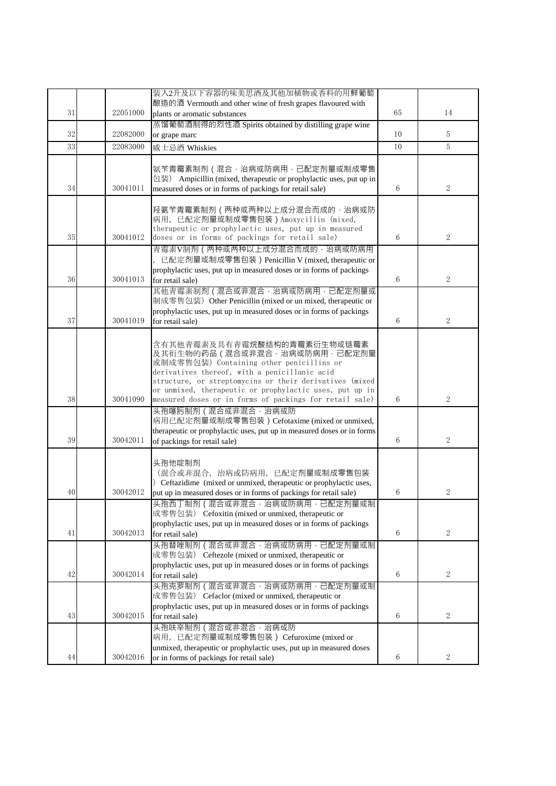|    |          | 装入2升及以下容器的味美思酒及其他加植物或香料的用鲜葡萄                                                                                    |    |                |
|----|----------|-----------------------------------------------------------------------------------------------------------------|----|----------------|
|    |          | 酿造的酒 Vermouth and other wine of fresh grapes flavoured with                                                     |    |                |
| 31 | 22051000 | plants or aromatic substances                                                                                   | 65 | 14             |
|    |          | 蒸馏葡萄酒制得的烈性酒 Spirits obtained by distilling grape wine                                                           |    |                |
| 32 | 22082000 | or grape marc                                                                                                   | 10 | 5              |
| 33 | 22083000 | 威士忌酒 Whiskies                                                                                                   | 10 | $\overline{5}$ |
|    |          |                                                                                                                 |    |                |
|    |          | 氨苄青霉素制剂(混合,治病或防病用,已配定剂量或制成零售                                                                                    |    |                |
| 34 | 30041011 | 包装) Ampicillin (mixed, therapeutic or prophylactic uses, put up in                                              | 6  | 2              |
|    |          | measured doses or in forms of packings for retail sale)                                                         |    |                |
|    |          | 羟氨苄青霉素制剂 ( 两种或两种以上成分混合而成的, 治病或防                                                                                 |    |                |
|    |          | 病用, 已配定剂量或制成零售包装) Amoxycillin (mixed,                                                                           |    |                |
|    |          | therapeutic or prophylactic uses, put up in measured                                                            |    |                |
| 35 | 30041012 | doses or in forms of packings for retail sale)                                                                  | 6  | $\overline{2}$ |
|    |          | 青霉素V制剂(两种或两种以上成分混合而成的,治病或防病用                                                                                    |    |                |
|    |          | , 已配定剂量或制成零售包装) Penicillin V (mixed, therapeutic or                                                             |    |                |
| 36 | 30041013 | prophylactic uses, put up in measured doses or in forms of packings<br>for retail sale)                         | 6  | $\overline{2}$ |
|    |          | 其他青霉素制剂 (混合或非混合,治病或防病用,已配定剂量或                                                                                   |    |                |
|    |          | 制成零售包装) Other Penicillin (mixed or un mixed, therapeutic or                                                     |    |                |
|    |          | prophylactic uses, put up in measured doses or in forms of packings                                             |    |                |
| 37 | 30041019 | for retail sale)                                                                                                | 6  | $\overline{2}$ |
|    |          |                                                                                                                 |    |                |
|    |          | 含有其他青霉素及具有青霉烷酸结构的青霉素衍生物或链霉素                                                                                     |    |                |
|    |          | 及其衍生物的药品(混合或非混合,治病或防病用,已配定剂量                                                                                    |    |                |
|    |          | 或制成零售包装) Containing other penicillins or                                                                        |    |                |
|    |          | derivatives thereof, with a penicillanic acid<br>structure, or streptomycins or their derivatives (mixed        |    |                |
|    |          | or unmixed, therapeutic or prophylactic uses, put up in                                                         |    |                |
| 38 | 30041090 | measured doses or in forms of packings for retail sale)                                                         | 6  | $\overline{2}$ |
|    |          | 头孢噻肟制剂 (混合或非混合, 治病或防                                                                                            |    |                |
|    |          | 病用已配定剂量或制成零售包装) Cefotaxime (mixed or unmixed,                                                                   |    |                |
| 39 | 30042011 | therapeutic or prophylactic uses, put up in measured doses or in forms                                          | 6  | $\overline{2}$ |
|    |          | of packings for retail sale)                                                                                    |    |                |
|    |          | 头孢他啶制剂                                                                                                          |    |                |
|    |          | (混合或非混合, 治病或防病用, 已配定剂量或制成零售包装                                                                                   |    |                |
|    |          | Ceftazidime (mixed or unmixed, therapeutic or prophylactic uses,                                                |    |                |
| 40 | 30042012 | put up in measured doses or in forms of packings for retail sale)                                               | 6  | 2              |
|    |          | 头孢西丁制剂(混合或非混合,治病或防病用,已配定剂量或制                                                                                    |    |                |
|    |          | 成零售包装) Cefoxitin (mixed or unmixed, therapeutic or                                                              |    |                |
|    | 30042013 | prophylactic uses, put up in measured doses or in forms of packings                                             |    | 2              |
| 41 |          | for retail sale)                                                                                                | 6  |                |
|    |          | 头孢替唑制剂(混合或非混合,治病或防病用,已配定剂量或制<br>成零售包装) Ceftezole (mixed or unmixed, therapeutic or                              |    |                |
|    |          | prophylactic uses, put up in measured doses or in forms of packings                                             |    |                |
| 42 | 30042014 | for retail sale)                                                                                                | 6  | 2              |
|    |          | 头孢克罗制剂 (混合或非混合,治病或防病用,已配定剂量或制                                                                                   |    |                |
|    |          | 成零售包装) Cefaclor (mixed or unmixed, therapeutic or                                                               |    |                |
|    |          | prophylactic uses, put up in measured doses or in forms of packings                                             |    |                |
| 43 | 30042015 | for retail sale)                                                                                                | 6  | 2              |
|    |          | 头孢呋辛制剂 (混合或非混合, 治病或防                                                                                            |    |                |
|    |          | 病用, 已配定剂量或制成零售包装) Cefuroxime (mixed or                                                                          |    |                |
| 44 | 30042016 | unmixed, therapeutic or prophylactic uses, put up in measured doses<br>or in forms of packings for retail sale) | 6  | 2              |
|    |          |                                                                                                                 |    |                |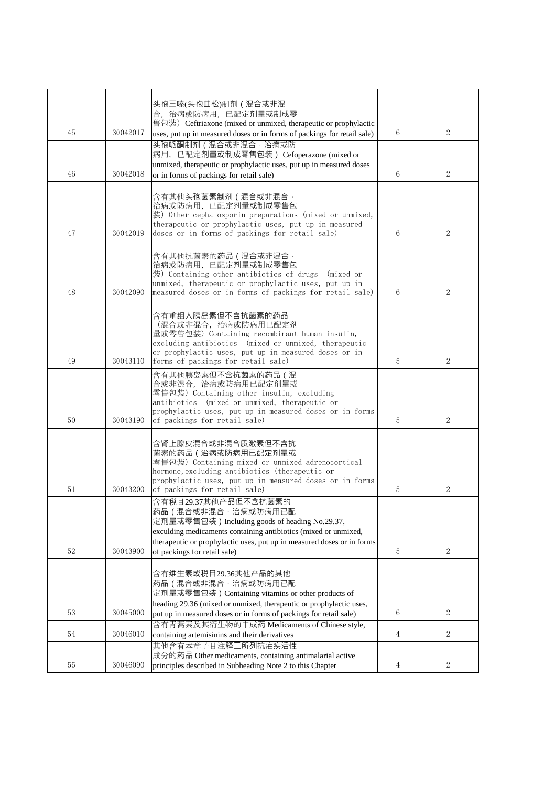|    |          | 头孢三嗪(头孢曲松)制剂 ( 混合或非混<br>合, 治病或防病用, 已配定剂量或制成零<br>售包装) Ceftriaxone (mixed or unmixed, therapeutic or prophylactic                                                                                                                                                           |   |                |
|----|----------|---------------------------------------------------------------------------------------------------------------------------------------------------------------------------------------------------------------------------------------------------------------------------|---|----------------|
| 45 | 30042017 | uses, put up in measured doses or in forms of packings for retail sale)                                                                                                                                                                                                   | 6 | $\overline{2}$ |
| 46 | 30042018 | 头孢哌酮制剂 (混合或非混合,治病或防<br>病用, 已配定剂量或制成零售包装) Cefoperazone (mixed or<br>unmixed, therapeutic or prophylactic uses, put up in measured doses<br>or in forms of packings for retail sale)                                                                                        | 6 | $\overline{2}$ |
| 47 | 30042019 | 含有其他头孢菌素制剂(混合或非混合,<br>治病或防病用, 已配定剂量或制成零售包<br>装) Other cephalosporin preparations (mixed or unmixed,<br>therapeutic or prophylactic uses, put up in measured<br>doses or in forms of packings for retail sale)                                                             | 6 | 2              |
| 48 | 30042090 | 含有其他抗菌素的药品(混合或非混合,<br>治病或防病用, 已配定剂量或制成零售包<br>装) Containing other antibiotics of drugs (mixed or<br>unmixed, therapeutic or prophylactic uses, put up in<br>measured doses or in forms of packings for retail sale)                                                        | 6 | 2              |
| 49 | 30043110 | 含有重组人胰岛素但不含抗菌素的药品<br>(混合或非混合, 治病或防病用已配定剂<br>量或零售包装) Containing recombinant human insulin,<br>excluding antibiotics (mixed or unmixed, therapeutic<br>or prophylactic uses, put up in measured doses or in<br>forms of packings for retail sale)                           | 5 | $\overline{2}$ |
| 50 | 30043190 | 含有其他胰岛素但不含抗菌素的药品(混<br>合或非混合,治病或防病用已配定剂量或<br>零售包装) Containing other insulin, excluding<br>antibiotics (mixed or unmixed, therapeutic or<br>prophylactic uses, put up in measured doses or in forms<br>of packings for retail sale)                                         | 5 | $\overline{2}$ |
| 51 | 30043200 | 含肾上腺皮混合或非混合质激素但不含抗<br>菌素的药品 (治病或防病用已配定剂量或<br>零售包装) Containing mixed or unmixed adrenocortical<br>hormone, excluding antibiotics (therapeutic or<br>prophylactic uses, put up in measured doses or in forms<br>of packings for retail sale)                                | 5 | $\overline{2}$ |
| 52 | 30043900 | 含有税目29.37其他产品但不含抗菌素的<br>药品(混合或非混合,治病或防病用已配<br>定剂量或零售包装) Including goods of heading No.29.37,<br>exculding medicaments containing antibiotics (mixed or unmixed,<br>therapeutic or prophylactic uses, put up in measured doses or in forms<br>of packings for retail sale) | 5 | $\overline{2}$ |
| 53 | 30045000 | 含有维生素或税目29.36其他产品的其他<br>药品 (混合或非混合,治病或防病用已配<br>定剂量或零售包装) Containing vitamins or other products of<br>heading 29.36 (mixed or unmixed, therapeutic or prophylactic uses,                                                                                                   | 6 | $\overline{2}$ |
|    |          | put up in measured doses or in forms of packings for retail sale)<br>含有青蒿素及其衍生物的中成药 Medicaments of Chinese style,                                                                                                                                                         |   |                |
| 54 | 30046010 | containing artemisinins and their derivatives                                                                                                                                                                                                                             | 4 | $\overline{2}$ |
| 55 | 30046090 | 其他含有本章子目注释二所列抗疟疾活性<br>成分的药品 Other medicaments, containing antimalarial active<br>principles described in Subheading Note 2 to this Chapter                                                                                                                                | 4 | 2              |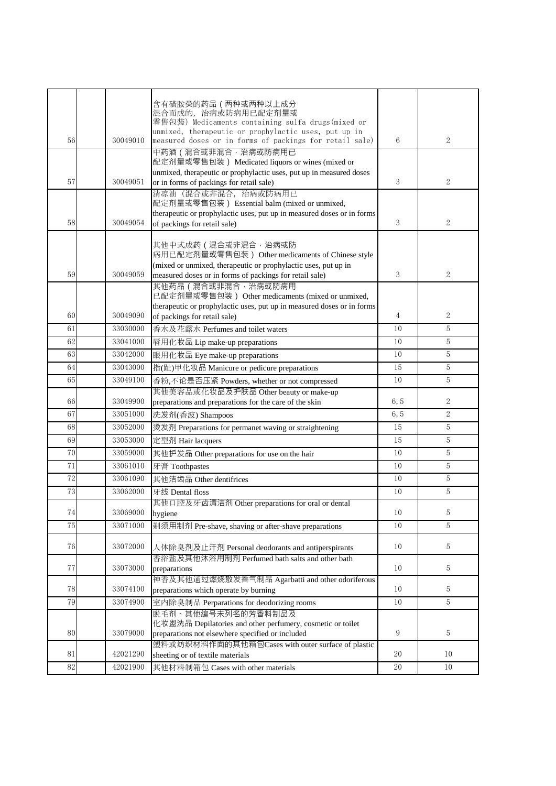|    |          | 含有磺胺类的药品 (两种或两种以上成分                                                                                             |      |                |
|----|----------|-----------------------------------------------------------------------------------------------------------------|------|----------------|
|    |          | 混合而成的, 治病或防病用已配定剂量或                                                                                             |      |                |
|    |          | 零售包装) Medicaments containing sulfa drugs(mixed or                                                               |      |                |
|    | 30049010 | unmixed, therapeutic or prophylactic uses, put up in<br>measured doses or in forms of packings for retail sale) | 6    | 2              |
| 56 |          | 中药酒 ( 混合或非混合 · 治病或防病用已                                                                                          |      |                |
|    |          | 配定剂量或零售包装) Medicated liquors or wines (mixed or                                                                 |      |                |
|    |          | unmixed, therapeutic or prophylactic uses, put up in measured doses                                             |      |                |
| 57 | 30049051 | or in forms of packings for retail sale)                                                                        | 3    | $\overline{2}$ |
|    |          | 清凉油 (混合或非混合, 治病或防病用已                                                                                            |      |                |
|    |          | 配定剂量或零售包装) Essential balm (mixed or unmixed,                                                                    |      |                |
| 58 | 30049054 | therapeutic or prophylactic uses, put up in measured doses or in forms<br>of packings for retail sale)          | 3    | $\overline{2}$ |
|    |          |                                                                                                                 |      |                |
|    |          | 其他中式成药 (混合或非混合, 治病或防                                                                                            |      |                |
|    |          | 病用已配定剂量或零售包装) Other medicaments of Chinese style                                                                |      |                |
|    |          | (mixed or unmixed, therapeutic or prophylactic uses, put up in                                                  |      |                |
| 59 | 30049059 | measured doses or in forms of packings for retail sale)                                                         | 3    | $\overline{2}$ |
|    |          | 其他药品 (混合或非混合,治病或防病用<br>已配定剂量或零售包装) Other medicaments (mixed or unmixed,                                         |      |                |
|    |          | therapeutic or prophylactic uses, put up in measured doses or in forms                                          |      |                |
| 60 | 30049090 | of packings for retail sale)                                                                                    | 4    | $\mathbf{2}$   |
| 61 | 33030000 | 香水及花露水 Perfumes and toilet waters                                                                               | 10   | 5              |
| 62 | 33041000 | 唇用化妆品 Lip make-up preparations                                                                                  | 10   | 5              |
| 63 | 33042000 | 眼用化妆品 Eye make-up preparations                                                                                  | 10   | 5              |
| 64 | 33043000 | 指(趾)甲化妆品 Manicure or pedicure preparations                                                                      | 15   | 5              |
| 65 | 33049100 |                                                                                                                 | 10   | 5              |
|    |          | 香粉,不论是否压紧 Powders, whether or not compressed<br>其他美容品或化妆品及护肤品 Other beauty or make-up                           |      |                |
| 66 | 33049900 | preparations and preparations for the care of the skin                                                          | 6, 5 | $\overline{2}$ |
| 67 | 33051000 | 洗发剂(香波) Shampoos                                                                                                | 6, 5 | $\overline{2}$ |
| 68 | 33052000 | 烫发剂 Preparations for permanet waving or straightening                                                           | 15   | 5              |
| 69 | 33053000 | 定型剂 Hair lacquers                                                                                               | 15   | 5              |
| 70 | 33059000 | 其他护发品 Other preparations for use on the hair                                                                    | 10   | $5\,$          |
| 71 | 33061010 | 牙膏 Toothpastes                                                                                                  | 10   | 5              |
| 72 | 33061090 | 其他洁齿品 Other dentifrices                                                                                         | 10   | $\,$ 5 $\,$    |
| 73 | 33062000 | 牙线 Dental floss                                                                                                 | 10   | 5              |
|    |          | 其他口腔及牙齿清洁剂 Other preparations for oral or dental                                                                |      |                |
| 74 | 33069000 | hygiene                                                                                                         | 10   | 5              |
| 75 | 33071000 | 剃须用制剂 Pre-shave, shaving or after-shave preparations                                                            | 10   | 5              |
|    |          |                                                                                                                 |      |                |
| 76 | 33072000 | 人体除臭剂及止汗剂 Personal deodorants and antiperspirants                                                               | 10   | $5\,$          |
|    |          | 香浴盐及其他沐浴用制剂 Perfumed bath salts and other bath                                                                  |      |                |
| 77 | 33073000 | preparations                                                                                                    | 10   | $5\,$          |
|    |          | 神香及其他通过燃烧散发香气制品 Agarbatti and other odoriferous                                                                 |      |                |
| 78 | 33074100 | preparations which operate by burning                                                                           | 10   | $5\,$          |
| 79 | 33074900 | 室内除臭制品 Perparations for deodorizing rooms                                                                       | 10   | $5\,$          |
|    |          | 脱毛剂、其他编号未列名的芳香料制品及<br>化妆盥洗品 Depilatories and other perfumery, cosmetic or toilet                                |      |                |
| 80 | 33079000 | preparations not elsewhere specified or included                                                                | 9    | 5              |
|    |          | 塑料或纺织材料作面的其他箱包Cases with outer surface of plastic                                                               |      |                |
| 81 | 42021290 | sheeting or of textile materials                                                                                | 20   | 10             |
| 82 | 42021900 | 其他材料制箱包 Cases with other materials                                                                              | 20   | 10             |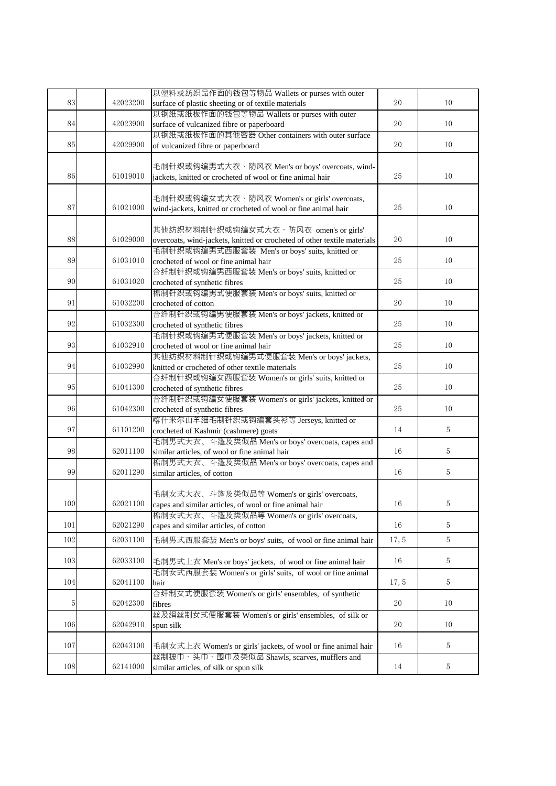|     |          | 以塑料或纺织品作面的钱包等物品 Wallets or purses with outer                                               |       |                |
|-----|----------|--------------------------------------------------------------------------------------------|-------|----------------|
| 83  | 42023200 | surface of plastic sheeting or of textile materials                                        | 20    | 10             |
|     |          |                                                                                            |       |                |
| 84  | 42023900 | 以钢纸或纸板作面的钱包等物品 Wallets or purses with outer                                                | 20    | 10             |
|     |          | surface of vulcanized fibre or paperboard                                                  |       |                |
|     |          | 以钢纸或纸板作面的其他容器 Other containers with outer surface                                          |       |                |
| 85  | 42029900 | of vulcanized fibre or paperboard                                                          | 20    | $10\,$         |
|     |          |                                                                                            |       |                |
|     |          | 毛制针织或钩编男式大衣、防风衣 Men's or boys' overcoats, wind-                                            |       |                |
| 86  | 61019010 | jackets, knitted or crocheted of wool or fine animal hair                                  | 25    | 10             |
|     |          |                                                                                            |       |                |
|     |          | 毛制针织或钩编女式大衣、防风衣 Women's or girls' overcoats,                                               |       |                |
| 87  | 61021000 | wind-jackets, knitted or crocheted of wool or fine animal hair                             | 25    | 10             |
|     |          |                                                                                            |       |                |
|     |          | 其他纺织材料制针织或钩编女式大衣、防风衣 omen's or girls'                                                      |       |                |
| 88  | 61029000 | overcoats, wind-jackets, knitted or crocheted of other textile materials                   | 20    | 10             |
|     |          | 毛制针织或钩编男式西服套装 Men's or boys' suits, knitted or                                             |       |                |
| 89  | 61031010 | crocheted of wool or fine animal hair                                                      | 25    | 10             |
|     |          | 合纤制针织或钩编男西服套装 Men's or boys' suits, knitted or                                             |       |                |
| 90  | 61031020 | crocheted of synthetic fibres                                                              | 25    | 10             |
|     |          | 棉制针织或钩编男式便服套装 Men's or boys' suits, knitted or                                             |       |                |
| 91  | 61032200 | crocheted of cotton                                                                        | 20    | 10             |
|     |          | 合纤制针织或钩编男便服套装 Men's or boys' jackets, knitted or                                           |       |                |
| 92  | 61032300 | crocheted of synthetic fibres                                                              | 25    | 10             |
|     |          | 毛制针织或钩编男式便服套装 Men's or boys' jackets, knitted or                                           |       |                |
| 93  | 61032910 | crocheted of wool or fine animal hair                                                      | 25    | 10             |
|     |          | 其他纺织材料制针织或钩编男式便服套装 Men's or boys' jackets,                                                 |       |                |
| 94  | 61032990 | knitted or crocheted of other textile materials                                            | 25    | 10             |
|     |          | 合纤制针织或钩编女西服套装 Women's or girls' suits, knitted or                                          |       |                |
| 95  | 61041300 | crocheted of synthetic fibres                                                              | 25    | 10             |
|     |          | 合纤制针织或钩编女便服套装 Women's or girls' jackets, knitted or                                        |       |                |
| 96  | 61042300 | crocheted of synthetic fibres                                                              | 25    | 10             |
|     |          | 喀什米尔山羊细毛制针织或钩编套头衫等 Jerseys, knitted or                                                     |       |                |
| 97  | 61101200 |                                                                                            | 14    | $\overline{5}$ |
|     |          | crocheted of Kashmir (cashmere) goats<br>毛制男式大衣、斗篷及类似品 Men's or boys' overcoats, capes and |       |                |
| 98  | 62011100 | similar articles, of wool or fine animal hair                                              | 16    | $\overline{5}$ |
|     |          |                                                                                            |       |                |
| 99  | 62011290 | 棉制男式大衣、斗篷及类似品 Men's or boys' overcoats, capes and                                          |       | 5              |
|     |          | similar articles, of cotton                                                                | 16    |                |
|     |          |                                                                                            |       |                |
| 100 | 62021100 | 毛制女式大衣、斗篷及类似品等 Women's or girls' overcoats,                                                |       |                |
|     |          | capes and similar articles, of wool or fine animal hair                                    | 16    | 5              |
|     | 62021290 | 棉制女式大衣、斗篷及类似品等 Women's or girls' overcoats,                                                |       |                |
| 101 |          | capes and similar articles, of cotton                                                      | 16    | 5              |
| 102 | 62031100 | 毛制男式西服套装 Men's or boys' suits, of wool or fine animal hair                                 | 17, 5 | $\overline{5}$ |
|     |          |                                                                                            |       |                |
| 103 | 62033100 | 毛制男式上衣 Men's or boys' jackets, of wool or fine animal hair                                 | 16    | 5              |
|     |          | 毛制女式西服套装 Women's or girls' suits, of wool or fine animal                                   |       |                |
| 104 | 62041100 | hair                                                                                       | 17, 5 | 5              |
|     |          | 合纤制女式便服套装 Women's or girls' ensembles, of synthetic                                        |       |                |
| 5   | 62042300 | fibres                                                                                     | 20    | 10             |
|     |          | 丝及绢丝制女式便服套装 Women's or girls' ensembles, of silk or                                        |       |                |
| 106 | 62042910 | spun silk                                                                                  | 20    | 10             |
|     |          |                                                                                            |       |                |
| 107 | 62043100 | 毛制女式上衣 Women's or girls' jackets, of wool or fine animal hair                              | 16    | $5\,$          |
|     |          | 丝制披巾、头巾、围巾及类似品 Shawls, scarves, mufflers and                                               |       |                |
| 108 | 62141000 | similar articles, of silk or spun silk                                                     | 14    | $5\,$          |
|     |          |                                                                                            |       |                |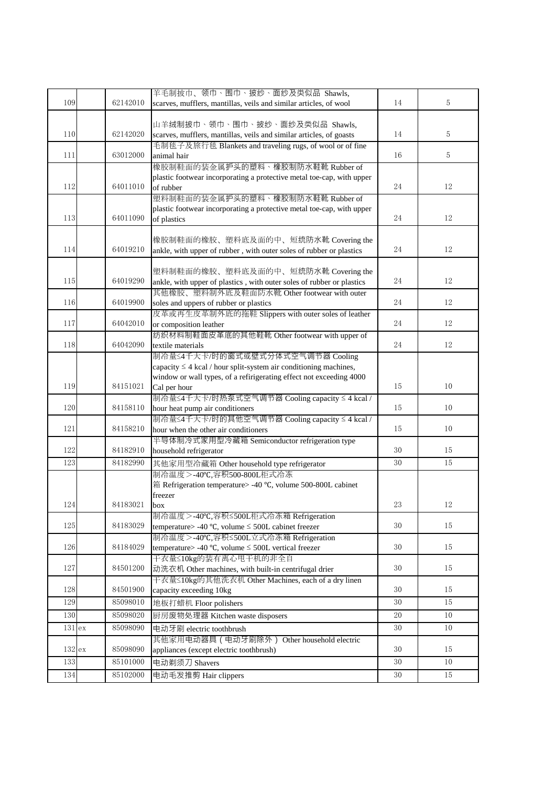| 109        | 62142010             | 羊毛制披巾、领巾、围巾、披纱、面纱及类似品 Shawls,<br>scarves, mufflers, mantillas, veils and similar articles, of wool        | 14       | 5            |
|------------|----------------------|-----------------------------------------------------------------------------------------------------------|----------|--------------|
|            |                      | 山羊绒制披巾、领巾、围巾、披纱、面纱及类似品 Shawls,                                                                            |          |              |
| 110        | 62142020             | scarves, mufflers, mantillas, veils and similar articles, of goasts                                       | 14       | 5            |
| 111        | 63012000             | 毛制毯子及旅行毯 Blankets and traveling rugs, of wool or of fine<br>animal hair                                   | 16       | 5            |
|            |                      | 橡胶制鞋面的装金属护头的塑料、橡胶制防水鞋靴 Rubber of                                                                          |          |              |
| 112        | 64011010             | plastic footwear incorporating a protective metal toe-cap, with upper<br>of rubber                        | 24       | 12           |
|            |                      | 塑料制鞋面的装金属护头的塑料、橡胶制防水鞋靴 Rubber of                                                                          |          |              |
| 113        | 64011090             | plastic footwear incorporating a protective metal toe-cap, with upper                                     | 24       | 12           |
|            |                      | of plastics                                                                                               |          |              |
|            |                      | 橡胶制鞋面的橡胶、塑料底及面的中、短统防水靴 Covering the                                                                       |          |              |
| 114        | 64019210             | ankle, with upper of rubber, with outer soles of rubber or plastics                                       | 24       | 12           |
|            |                      | 塑料制鞋面的橡胶、塑料底及面的中、短统防水靴 Covering the                                                                       |          |              |
| 115        | 64019290             | ankle, with upper of plastics, with outer soles of rubber or plastics                                     | 24       | 12           |
|            |                      | 其他橡胶、塑料制外底及鞋面防水靴 Other footwear with outer                                                                |          |              |
| 116        | 64019900             | soles and uppers of rubber or plastics<br>皮革或再生皮革制外底的拖鞋 Slippers with outer soles of leather              | 24       | 12           |
| 117        | 64042010             | or composition leather                                                                                    | 24       | 12           |
|            |                      | 纺织材料制鞋面皮革底的其他鞋靴 Other footwear with upper of                                                              |          |              |
| 118        | 64042090             | textile materials                                                                                         | 24       | 12           |
|            |                      | 制冷量≤4千大卡/时的窗式或壁式分体式空气调节器 Cooling<br>capacity $\leq 4$ kcal / hour split-system air conditioning machines, |          |              |
|            |                      | window or wall types, of a refirigerating effect not exceeding 4000                                       |          |              |
| 119        | 84151021             | Cal per hour                                                                                              | 15       | 10           |
|            |                      | 制冷量≤4千大卡/时热泵式空气调节器 Cooling capacity ≤ 4 kcal /                                                            |          |              |
| 120        | 84158110             | hour heat pump air conditioners                                                                           | 15       | 10           |
| 121        | 84158210             | 制冷量≤4千大卡/时的其他空气调节器 Cooling capacity ≤ 4 kcal /<br>hour when the other air conditioners                    | 15       | 10           |
|            |                      | 半导体制冷式家用型冷藏箱 Semiconductor refrigeration type                                                             |          |              |
| 122        | 84182910             | household refrigerator                                                                                    | 30       | 15           |
| 123        | 84182990             | 其他家用型冷藏箱 Other household type refrigerator                                                                | 30       | 15           |
|            |                      | 制冷温度 >-40℃,容积500-800L柜式冷冻                                                                                 |          |              |
|            |                      | 箱 Refrigeration temperature> -40 °C, volume 500-800L cabinet<br>freezer                                   |          |              |
| 124        | 84183021             | box                                                                                                       | $23\,$   | 12           |
|            |                      | 制冷温度>-40℃,容积≤500L柜式冷冻箱 Refrigeration                                                                      |          |              |
| 125        | 84183029             | temperature> -40 °C, volume $\leq$ 500L cabinet freezer                                                   | 30       | 15           |
| 126        | 84184029             | 制冷温度>-40℃,容积≤500L立式冷冻箱 Refrigeration<br>temperature> -40 °C, volume $\leq$ 500L vertical freezer          | 30       | 15           |
|            |                      | 干衣量≤10kg的装有离心甩干机的非全自                                                                                      |          |              |
| 127        | 84501200             | 动洗衣机 Other machines, with built-in centrifugal drier                                                      | 30       | 15           |
|            |                      | 干衣量≤10kg的其他洗衣机 Other Machines, each of a dry linen                                                        |          |              |
| 128        | 84501900             | capacity exceeding 10kg                                                                                   | 30       | 15           |
| 129<br>130 | 85098010<br>85098020 | 地板打蜡机 Floor polishers                                                                                     | 30<br>20 | 15<br>$10\,$ |
|            | 85098090             | 厨房废物处理器 Kitchen waste disposers                                                                           | 30       | 10           |
| 131 ex     |                      | 电动牙刷 electric toothbrush<br>其他家用电动器具 ( 电动牙刷除外 ) Other household electric                                  |          |              |
| 132ex      | 85098090             | appliances (except electric toothbrush)                                                                   | 30       | 15           |
| 133        | 85101000             | 电动剃须刀 Shavers                                                                                             | 30       | 10           |
| 134        | 85102000             | 电动毛发推剪 Hair clippers                                                                                      | 30       | 15           |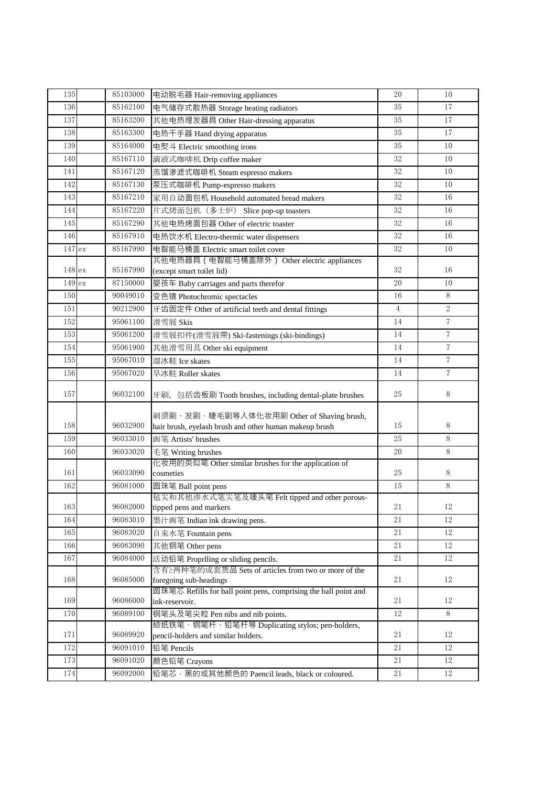| 135    | 85103000 | 电动脱毛器 Hair-removing appliances                                                    | 20             | 10             |
|--------|----------|-----------------------------------------------------------------------------------|----------------|----------------|
| 136    | 85162100 | 电气储存式散热器 Storage heating radiators                                                | 35             | 17             |
| 137    | 85163200 | 其他电热理发器具 Other Hair-dressing apparatus                                            | 35             | 17             |
| 138    | 85163300 | 电热干手器 Hand drying apparatus                                                       | 35             | 17             |
| 139    | 85164000 | 电熨斗 Electric smoothing irons                                                      | 35             | 10             |
| 140    | 85167110 | 滴液式咖啡机 Drip coffee maker                                                          | 32             | 10             |
| 141    | 85167120 | 蒸馏渗滤式咖啡机 Steam espresso makers                                                    | 32             | 10             |
| 142    | 85167130 | 泵压式咖啡机 Pump-espresso makers                                                       | 32             | 10             |
| 143    | 85167210 | 家用自动面包机 Household automated bread makers                                          | 32             | 16             |
| 144    | 85167220 | 片式烤面包机 (多士炉) Slice pop-up toasters                                                | 32             | 16             |
| 145    | 85167290 | 其他电热烤面包器 Other of electric toaster                                                | 32             | 16             |
| 146    | 85167910 | 电热饮水机 Electro-thermic water dispensers                                            | 32             | 16             |
| 147 ex | 85167990 | 电智能马桶盖 Electric smart toilet cover                                                | 32             | 10             |
|        |          | 其他电热器具 (电智能马桶盖除外) Other electric appliances                                       |                |                |
| 148 ex | 85167990 | (except smart toilet lid)                                                         | 32             | 16             |
| 149 ex | 87150000 | 婴孩车 Baby carriages and parts therefor                                             | 20             | 10             |
| 150    | 90049010 | 变色镜 Photochromic spectacles                                                       | 16             | 8              |
| 151    | 90212900 | 牙齿固定件 Other of artificial teeth and dental fittings                               | $\overline{4}$ | $\overline{2}$ |
| 152    | 95061100 | 滑雪屐 Skis                                                                          | 14             | $\overline{7}$ |
| 153    | 95061200 | 滑雪屐扣件(滑雪屐带) Ski-fastenings (ski-bindings)                                         | 14             | $\overline{7}$ |
| 154    | 95061900 | 其他滑雪用具 Other ski equipment                                                        | 14             | $\overline{7}$ |
| 155    | 95067010 | 溜冰鞋 Ice skates                                                                    | 14             | $\overline{7}$ |
| 156    | 95067020 | 旱冰鞋 Roller skates                                                                 | 14             | $\overline{7}$ |
| 157    | 96032100 | 牙刷, 包括齿板刷 Tooth brushes, including dental-plate brushes                           | 25             | 8              |
|        |          | 剃须刷、发刷、睫毛刷等人体化妆用刷 Other of Shaving brush,                                         |                |                |
| 158    | 96032900 | hair brush, eyelash brush and other human makeup brush                            | 15             | 8              |
| 159    | 96033010 | 画笔 Artists' brushes                                                               | 25             | 8              |
| 160    | 96033020 | 毛笔 Writing brushes                                                                | 20             | 8              |
| 161    | 96033090 | 化妆用的类似笔 Other similar brushes for the application of<br>cosmeties                 | 25             | 8              |
| 162    | 96081000 | 圆珠笔 Ball point pens                                                               | 15             | $\, 8$         |
|        |          | 毡尖和其他渗水式笔尖笔及唛头笔 Felt tipped and other porous-                                     |                |                |
| 163    | 96082000 | tipped pens and markers                                                           | $21\,$         | 12             |
| 164    | 96083010 | 墨汁画笔 Indian ink drawing pens.                                                     | 21             | 12             |
| 165    | 96083020 | 自来水笔 Fountain pens                                                                | 21             | 12             |
| 166    | 96083090 | 其他钢笔 Other pens                                                                   | 21             | 12             |
| 167    | 96084000 | 活动铅笔 Proprlling or sliding pencils.                                               | 21             | 12             |
|        |          | 含有≥两种笔的成套货品 Sets of articles from two or more of the                              |                |                |
| 168    | 96085000 | foregoing sub-headings                                                            | 21             | $12\,$         |
| 169    | 96086000 | 圆珠笔芯 Refills for ball point pens, comprising the ball point and<br>ink-reservoir. | 21             | 12             |
| 170    | 96089100 | 钢笔头及笔尖粒 Pen nibs and nib points.                                                  | 12             | 8              |
|        |          | 蜡纸铁笔、钢笔杆、铅笔杆等 Duplicating stylos; pen-holders,                                    |                |                |
| 171    | 96089920 | pencil-holders and similar holders.                                               | 21             | 12             |
| 172    | 96091010 | 铅笔 Pencils                                                                        | 21             | 12             |
| 173    | 96091020 | 颜色铅笔 Crayons                                                                      | $21\,$         | 12             |
| 174    | 96092000 | 铅笔芯,黑的或其他颜色的 Paencil leads, black or coloured.                                    | 21             | 12             |